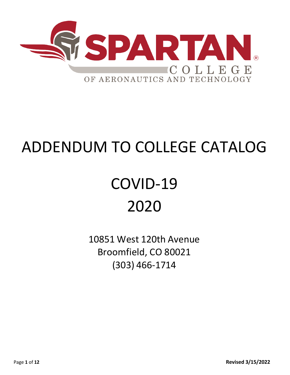

# ADDENDUM TO COLLEGE CATALOG

# COVID-19 2020

10851 West 120th Avenue Broomfield, CO 80021 (303) 466-1714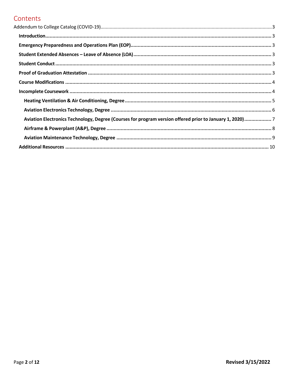## Contents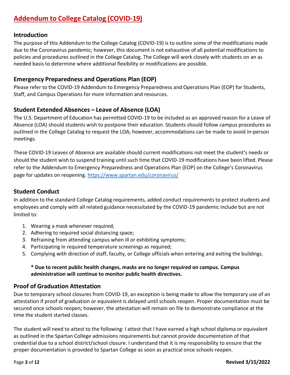## <span id="page-2-0"></span>**Addendum to College Catalog (COVID-19)**

#### <span id="page-2-1"></span>**Introduction**

The purpose of this Addendum to the College Catalog (COVID-19) is to outline some of the modifications made due to the Coronavirus pandemic; however, this document is not exhaustive of all potential modifications to policies and procedures outlined in the College Catalog. The College will work closely with students on an as needed basis to determine where additional flexibility or modifications are possible.

## <span id="page-2-2"></span>**Emergency Preparedness and Operations Plan (EOP)**

Please refer to the COVID-19 Addendum to Emergency Preparedness and Operations Plan (EOP) for Students, Staff, and Campus Operations for more information and resources.

## <span id="page-2-3"></span>**Student Extended Absences – Leave of Absence (LOA)**

The U.S. Department of Education has permitted COVID-19 to be included as an approved reason for a Leave of Absence (LOA) should students wish to postpone their education. Students should follow campus procedures as outlined in the College Catalog to request the LOA; however, accommodations can be made to avoid in-person meetings.

These COVID-19 Leaves of Absence are available should current modifications not meet the student's needs or should the student wish to suspend training until such time that COVID-19 modifications have been lifted. Please refer to the Addendum to Emergency Preparedness and Operations Plan (EOP) on the College's Coronavirus page for updates on reopening.<https://www.spartan.edu/coronavirus/>

## <span id="page-2-4"></span>**Student Conduct**

In addition to the standard College Catalog requirements, added conduct requirements to protect students and employees and comply with all related guidance necessitated by the COVID-19 pandemic include but are not limited to:

- 1. Wearing a mask whenever required;
- 2. Adhering to required social distancing space;
- 3. Refraining from attending campus when ill or exhibiting symptoms;
- 4. Participating in required temperature screenings as required;
- <span id="page-2-5"></span>5. Complying with direction of staff, faculty, or College officials when entering and exiting the buildings.

#### **\* Due to recent public health changes, masks are no longer required on campus. Campus administration will continue to monitor public health directives.**

## **Proof of Graduation Attestation**

Due to temporary school closures from COVID-19, an exception is being made to allow the temporary use of an attestation if proof of graduation or equivalent is delayed until schools reopen. Proper documentation must be secured once schools reopen; however, the attestation will remain on file to demonstrate compliance at the time the student started classes.

The student will need to attest to the following: I attest that I have earned a high school diploma or equivalent as outlined in the Spartan College admissions requirements but cannot provide documentation of that credential due to a school district/school closure. I understand that it is my responsibility to ensure that the proper documentation is provided to Spartan College as soon as practical once schools reopen.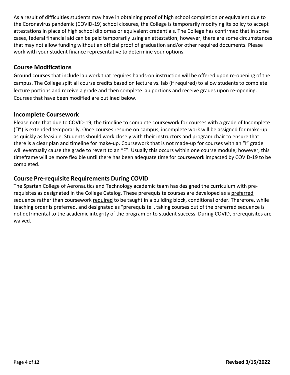As a result of difficulties students may have in obtaining proof of high school completion or equivalent due to the Coronavirus pandemic (COVID-19) school closures, the College is temporarily modifying its policy to accept attestations in place of high school diplomas or equivalent credentials. The College has confirmed that in some cases, federal financial aid can be paid temporarily using an attestation; however, there are some circumstances that may not allow funding without an official proof of graduation and/or other required documents. Please work with your student finance representative to determine your options.

## <span id="page-3-0"></span>**Course Modifications**

Ground courses that include lab work that requires hands-on instruction will be offered upon re-opening of the campus. The College split all course credits based on lecture vs. lab (if required) to allow students to complete lecture portions and receive a grade and then complete lab portions and receive grades upon re-opening. Courses that have been modified are outlined below.

#### <span id="page-3-1"></span>**Incomplete Coursework**

Please note that due to COVID-19, the timeline to complete coursework for courses with a grade of Incomplete ("I") is extended temporarily. Once courses resume on campus, incomplete work will be assigned for make-up as quickly as feasible. Students should work closely with their instructors and program chair to ensure that there is a clear plan and timeline for make-up. Coursework that is not made-up for courses with an "I" grade will eventually cause the grade to revert to an "F". Usually this occurs within one course module; however, this timeframe will be more flexible until there has been adequate time for coursework impacted by COVID-19 to be completed.

## **Course Pre-requisite Requirements During COVID**

The Spartan College of Aeronautics and Technology academic team has designed the curriculum with prerequisites as designated in the College Catalog. These prerequisite courses are developed as a preferred sequence rather than coursework required to be taught in a building block, conditional order. Therefore, while teaching order is preferred, and designated as "prerequisite", taking courses out of the preferred sequence is not detrimental to the academic integrity of the program or to student success. During COVID, prerequisites are waived.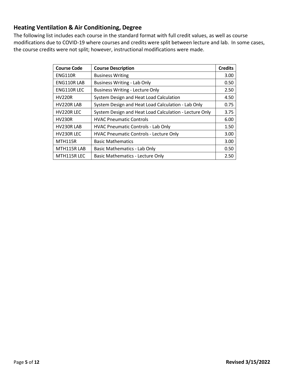## <span id="page-4-0"></span>**Heating Ventilation & Air Conditioning, Degree**

| <b>Course Code</b> | <b>Course Description</b>                              | <b>Credits</b> |
|--------------------|--------------------------------------------------------|----------------|
| <b>ENG110R</b>     | <b>Business Writing</b>                                | 3.00           |
| ENG110RLAB         | <b>Business Writing - Lab Only</b>                     | 0.50           |
| ENG110R LEC        | <b>Business Writing - Lecture Only</b>                 | 2.50           |
| <b>HV220R</b>      | System Design and Heat Load Calculation                | 4.50           |
| HV220R LAB         | System Design and Heat Load Calculation - Lab Only     | 0.75           |
| HV220R LEC         | System Design and Heat Load Calculation - Lecture Only | 3.75           |
| <b>HV230R</b>      | <b>HVAC Pneumatic Controls</b>                         | 6.00           |
| HV230R LAB         | <b>HVAC Pneumatic Controls - Lab Only</b>              | 1.50           |
| HV230R LEC         | <b>HVAC Pneumatic Controls - Lecture Only</b>          | 3.00           |
| <b>MTH115R</b>     | <b>Basic Mathematics</b>                               | 3.00           |
| MTH115RLAB         | <b>Basic Mathematics - Lab Only</b>                    | 0.50           |
| MTH115R LEC        | <b>Basic Mathematics - Lecture Only</b>                | 2.50           |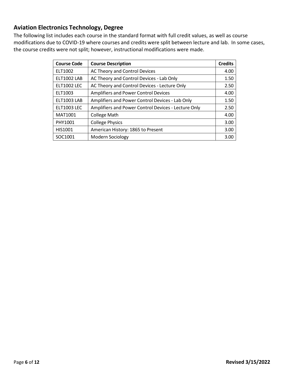## <span id="page-5-0"></span>**Aviation Electronics Technology, Degree**

| <b>Course Code</b> | <b>Course Description</b>                           | <b>Credits</b> |
|--------------------|-----------------------------------------------------|----------------|
| ELT1002            | AC Theory and Control Devices                       | 4.00           |
| <b>ELT1002 LAB</b> | AC Theory and Control Devices - Lab Only            | 1.50           |
| <b>ELT1002 LEC</b> | AC Theory and Control Devices - Lecture Only        | 2.50           |
| ELT1003            | Amplifiers and Power Control Devices                | 4.00           |
| <b>ELT1003 LAB</b> | Amplifiers and Power Control Devices - Lab Only     | 1.50           |
| <b>ELT1003 LEC</b> | Amplifiers and Power Control Devices - Lecture Only | 2.50           |
| MAT1001            | <b>College Math</b>                                 | 4.00           |
| PHY1001            | <b>College Physics</b>                              | 3.00           |
| HIS1001            | American History: 1865 to Present                   | 3.00           |
| SOC1001            | Modern Sociology                                    | 3.00           |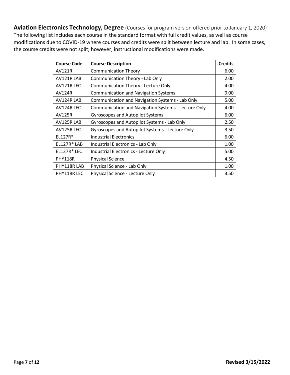<span id="page-6-0"></span>**Aviation Electronics Technology, Degree** (Courses for program version offered prior to January 1, 2020) The following list includes each course in the standard format with full credit values, as well as course modifications due to COVID-19 where courses and credits were split between lecture and lab. In some cases, the course credits were not split; however, instructional modifications were made.

| <b>Course Code</b> | <b>Course Description</b>                           | <b>Credits</b> |
|--------------------|-----------------------------------------------------|----------------|
| <b>AV121R</b>      | <b>Communication Theory</b>                         | 6.00           |
| AV121RLAB          | Communication Theory - Lab Only                     | 2.00           |
| AV121R LEC         | <b>Communication Theory - Lecture Only</b>          | 4.00           |
| <b>AV124R</b>      | <b>Communication and Navigation Systems</b>         | 9.00           |
| AV124R LAB         | Communication and Navigation Systems - Lab Only     | 5.00           |
| AV124R LEC         | Communication and Navigation Systems - Lecture Only | 4.00           |
| <b>AV125R</b>      | <b>Gyroscopes and Autopilot Systems</b>             | 6.00           |
| AV125R LAB         | Gyroscopes and Autopilot Systems - Lab Only         | 2.50           |
| AV125R LEC         | Gyroscopes and Autopilot Systems - Lecture Only     | 3.50           |
| EL127R*            | <b>Industrial Electronics</b>                       | 6.00           |
| EL127R*LAB         | Industrial Electronics - Lab Only                   | 1.00           |
| EL127R*LEC         | Industrial Electronics - Lecture Only               | 5.00           |
| <b>PHY118R</b>     | <b>Physical Science</b>                             | 4.50           |
| PHY118R LAB        | Physical Science - Lab Only                         | 1.00           |
| PHY118R LEC        | Physical Science - Lecture Only                     | 3.50           |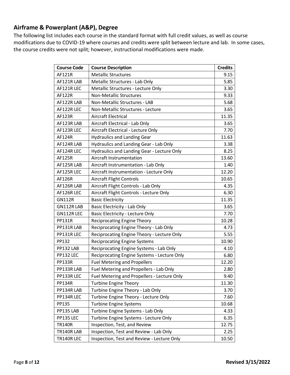## <span id="page-7-0"></span>**Airframe & Powerplant (A&P), Degree**

| <b>Course Code</b> | <b>Course Description</b>                   | <b>Credits</b> |
|--------------------|---------------------------------------------|----------------|
| AF121R             | <b>Metallic Structures</b>                  | 9.15           |
| AF121R LAB         | Metallic Structures - Lab Only              | 5.85           |
| AF121R LEC         | Metallic Structures - Lecture Only          | 3.30           |
| <b>AF122R</b>      | <b>Non-Metallic Structures</b>              | 9.33           |
| AF122R LAB         | Non-Metallic Structures - LAB               | 5.68           |
| AF122R LEC         | Non-Metallic Structures - Lecture           | 3.65           |
| AF123R             | <b>Aircraft Electrical</b>                  | 11.35          |
| AF123R LAB         | Aircraft Electrical - Lab Only              | 3.65           |
| AF123R LEC         | Aircraft Electrical - Lecture Only          | 7.70           |
| AF124R             | <b>Hydraulics and Landing Gear</b>          | 11.63          |
| AF124R LAB         | Hydraulics and Landing Gear - Lab Only      | 3.38           |
| AF124R LEC         | Hydraulics and Landing Gear - Lecture Only  | 8.25           |
| AF125R             | Aircraft Instrumentation                    | 13.60          |
| AF125R LAB         | Aircraft Instrumentation - Lab Only         | 1.40           |
| AF125R LEC         | Aircraft Instrumentation - Lecture Only     | 12.20          |
| AF126R             | <b>Aircraft Flight Controls</b>             | 10.65          |
| AF126R LAB         | Aircraft Flight Controls - Lab Only         | 4.35           |
| AF126R LEC         | Aircraft Flight Controls - Lecture Only     | 6.30           |
| <b>GN112R</b>      | <b>Basic Electricity</b>                    | 11.35          |
| GN112RLAB          | Basic Electricity - Lab Only                | 3.65           |
| GN112R LEC         | <b>Basic Electricity - Lecture Only</b>     | 7.70           |
| PP131R             | <b>Reciprocating Engine Theory</b>          | 10.28          |
| PP131R LAB         | Reciprocating Engine Theory - Lab Only      | 4.73           |
| PP131R LEC         | Reciprocating Engine Theory - Lecture Only  | 5.55           |
| PP132              | <b>Reciprocating Engine Systems</b>         | 10.90          |
| PP132 LAB          | Reciprocating Engine Systems - Lab Only     | 4.10           |
| PP132 LEC          | Reciprocating Engine Systems - Lecture Only | 6.80           |
| <b>PP133R</b>      | <b>Fuel Metering and Propellers</b>         | 12.20          |
| PP133R LAB         | Fuel Metering and Propellers - Lab Only     | 2.80           |
| PP133R LEC         | Fuel Metering and Propellers - Lecture Only | 9.40           |
| <b>PP134R</b>      | <b>Turbine Engine Theory</b>                | 11.30          |
| PP134R LAB         | Turbine Engine Theory - Lab Only            | 3.70           |
| PP134R LEC         | Turbine Engine Theory - Lecture Only        | 7.60           |
| PP135              | <b>Turbine Engine Systems</b>               | 10.68          |
| PP135 LAB          | Turbine Engine Systems - Lab Only           | 4.33           |
| PP135 LEC          | Turbine Engine Systems - Lecture Only       | 6.35           |
| <b>TR140R</b>      | Inspection, Test, and Review                | 12.75          |
| TR140RLAB          | Inspection, Test and Review - Lab Only      | 2.25           |
| TR140RLEC          | Inspection, Test and Review - Lecture Only  | 10.50          |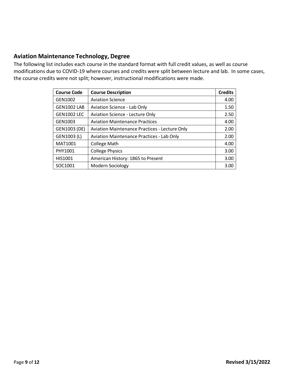#### <span id="page-8-0"></span>**Aviation Maintenance Technology, Degree**

| <b>Course Code</b> | <b>Course Description</b>                            | <b>Credits</b> |
|--------------------|------------------------------------------------------|----------------|
| GEN1002            | <b>Aviation Science</b>                              | 4.00           |
| <b>GEN1002 LAB</b> | Aviation Science - Lab Only                          | 1.50           |
| <b>GEN1002 LEC</b> | <b>Aviation Science - Lecture Only</b>               | 2.50           |
| GEN1003            | <b>Aviation Maintenance Practices</b>                | 4.00           |
| GEN1003 (DE)       | <b>Aviation Maintenance Practices - Lecture Only</b> | 2.00           |
| GEN1003 (L)        | <b>Aviation Maintenance Practices - Lab Only</b>     | 2.00           |
| MAT1001            | <b>College Math</b>                                  | 4.00           |
| PHY1001            | <b>College Physics</b>                               | 3.00           |
| HIS1001            | American History: 1865 to Present                    | 3.00           |
| SOC1001            | Modern Sociology                                     | 3.00           |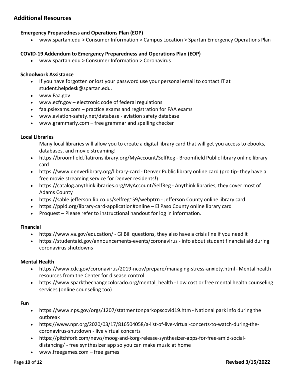#### <span id="page-9-0"></span>**Additional Resources**

#### **Emergency Preparedness and Operations Plan (EOP)**

• [www.spartan.edu](http://www.spartan.edu/) > Consumer Information > Campus Location > Spartan Emergency Operations Plan

#### **COVID-19 Addendum to Emergency Preparedness and Operations Plan (EOP)**

• [www.spartan.edu](http://www.spartan.edu/) > Consumer Information > Coronavirus

#### **Schoolwork Assistance**

- If you have forgotten or lost your password use your personal email to contact IT at [student.helpdesk@spartan.edu.](mailto:student.helpdesk@spartan.edu)
- [www.Faa.gov](http://www.faa.gov/)
- [www.ecfr.gov](http://www.ecfr.gov/) electronic code of federal regulations
- faa.psiexams.com practice exams and registration for FAA exams
- [www.aviation-safety.net/database](http://www.aviation-safety.net/database) aviation safety database
- [www.grammarly.com](http://www.grammarly.com/) free grammar and spelling checker

#### **Local Libraries**

Many local libraries will allow you to create a digital library card that will get you access to ebooks, databases, and movie streaming!

- https://broomfield.flatironslibrary.org/MyAccount/SelfReg Broomfield Public library online library card
- https:/[/www.denverlibrary.org/library-card](http://www.denverlibrary.org/library-card) Denver Public library online card (pro tip- they have a free movie streaming service for Denver residents!)
- https://catalog.anythinklibraries.org/MyAccount/SelfReg Anythink libraries, they cover most of Adams County
- https://sable.jefferson.lib.co.us/selfreg~S9/webptrn Jefferson County online library card
- https://ppld.org/library-card-application#online El Paso County online library card
- Proquest Please refer to instructional handout for log in information.

#### **Financial**

- https:/[/www.va.gov/education/](http://www.va.gov/education/) GI Bill questions, they also have a crisis line if you need it
- https://studentaid.gov/announcements-events/coronavirus info about student financial aid during coronavirus shutdowns

#### **Mental Health**

- https:/[/www.cdc.gov/coronavirus/2019-ncov/prepare/managing-stress-anxiety.html](http://www.cdc.gov/coronavirus/2019-ncov/prepare/managing-stress-anxiety.html) Mental health resources from the Center for disease control
- https://www.sparkthechangecolorado.org/mental health Low cost or free mental health counseling services (online counseling too)

#### **Fun**

- https:/[/www.nps.gov/orgs/1207/statmentonparkopscovid19.htm](http://www.nps.gov/orgs/1207/statmentonparkopscovid19.htm) National park info during the outbreak
- https:/[/www.npr.org/2020/03/17/816504058/a-list-of-live-virtual-concerts-to-watch-during-the](http://www.npr.org/2020/03/17/816504058/a-list-of-live-virtual-concerts-to-watch-during-the-)coronavirus-shutdown - live virtual concerts
- https://pitchfork.com/news/moog-and-korg-release-synthesizer-apps-for-free-amid-socialdistancing/ - free synthesizer app so you can make music at home
- [www.freegames.com](http://www.freegames.com/) free games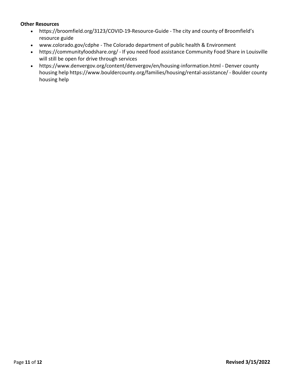#### **Other Resources**

- https://broomfield.org/3123/COVID-19-Resource-Guide The city and county of Broomfield's resource guide
- [www.colorado.gov/cdphe](http://www.colorado.gov/cdphe) The Colorado department of public health & Environment
- https://communityfoodshare.org/ If you need food assistance Community Food Share in Louisville will still be open for drive through services
- https:/[/www.denvergov.org/content/denvergov/en/housing-information.html -](http://www.denvergov.org/content/denvergov/en/housing-information.html) Denver county housing help https:/[/www.bouldercounty.org/families/housing/rental-assistance/](http://www.bouldercounty.org/families/housing/rental-assistance/) - Boulder county housing help